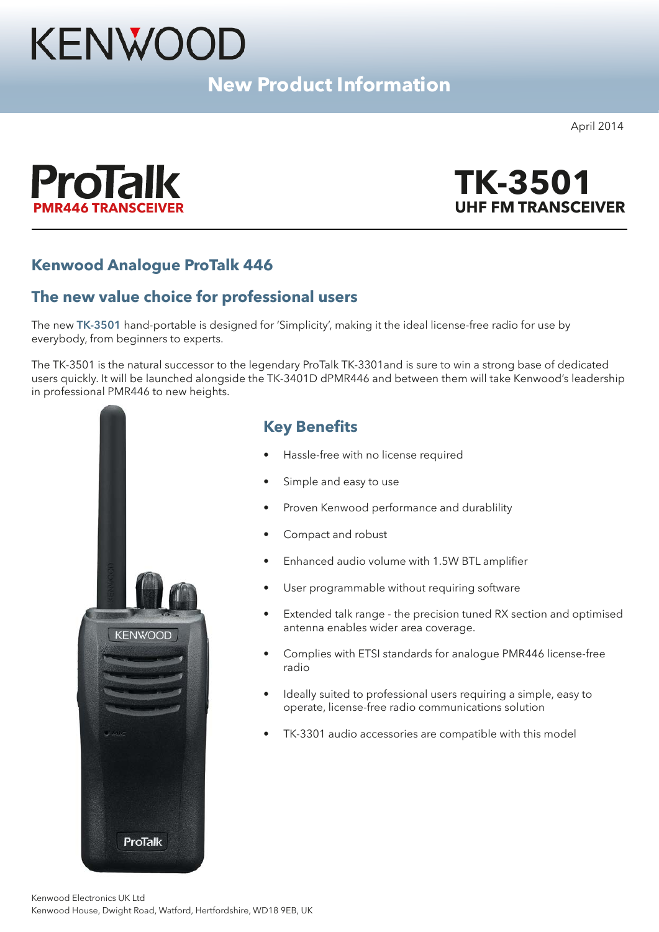# KENWOOD

# **New Product Information**

April 2014





## **Kenwood Analogue ProTalk 446**

## **The new value choice for professional users**

The new **TK-3501** hand-portable is designed for 'Simplicity', making it the ideal license-free radio for use by everybody, from beginners to experts.

The TK-3501 is the natural successor to the legendary ProTalk TK-3301and is sure to win a strong base of dedicated users quickly. It will be launched alongside the TK-3401D dPMR446 and between them will take Kenwood's leadership in professional PMR446 to new heights.



## **Key Benefits**

- Hassle-free with no license required
- Simple and easy to use
- Proven Kenwood performance and durablility
- Compact and robust
- Enhanced audio volume with 1.5W BTL amplifier
- User programmable without requiring software
- Extended talk range the precision tuned RX section and optimised antenna enables wider area coverage.
- Complies with ETSI standards for analogue PMR446 license-free radio
- Ideally suited to professional users requiring a simple, easy to operate, license-free radio communications solution
- TK-3301 audio accessories are compatible with this model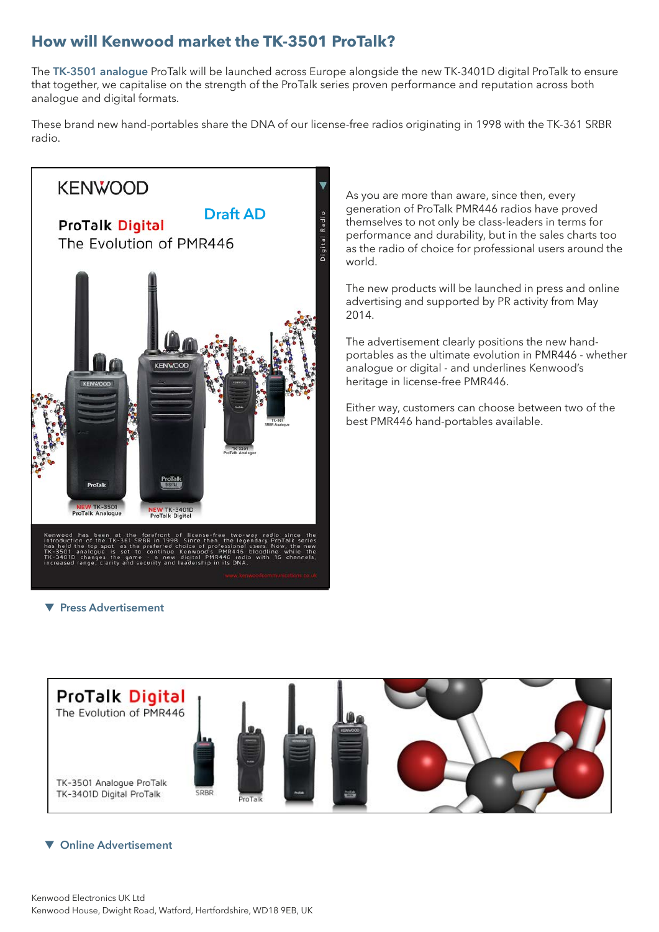## **How will Kenwood market the TK-3501 ProTalk?**

The **TK-3501 analogue** ProTalk will be launched across Europe alongside the new TK-3401D digital ProTalk to ensure that together, we capitalise on the strength of the ProTalk series proven performance and reputation across both analogue and digital formats.

These brand new hand-portables share the DNA of our license-free radios originating in 1998 with the TK-361 SRBR radio.



As you are more than aware, since then, every generation of ProTalk PMR446 radios have proved themselves to not only be class-leaders in terms for performance and durability, but in the sales charts too as the radio of choice for professional users around the world.

The new products will be launched in press and online advertising and supported by PR activity from May 2014.

The advertisement clearly positions the new handportables as the ultimate evolution in PMR446 - whether analogue or digital - and underlines Kenwood's heritage in license-free PMR446.

Either way, customers can choose between two of the best PMR446 hand-portables available.

 $\blacktriangledown$  **Press Advertisement** 



#### **v** Online Advertisement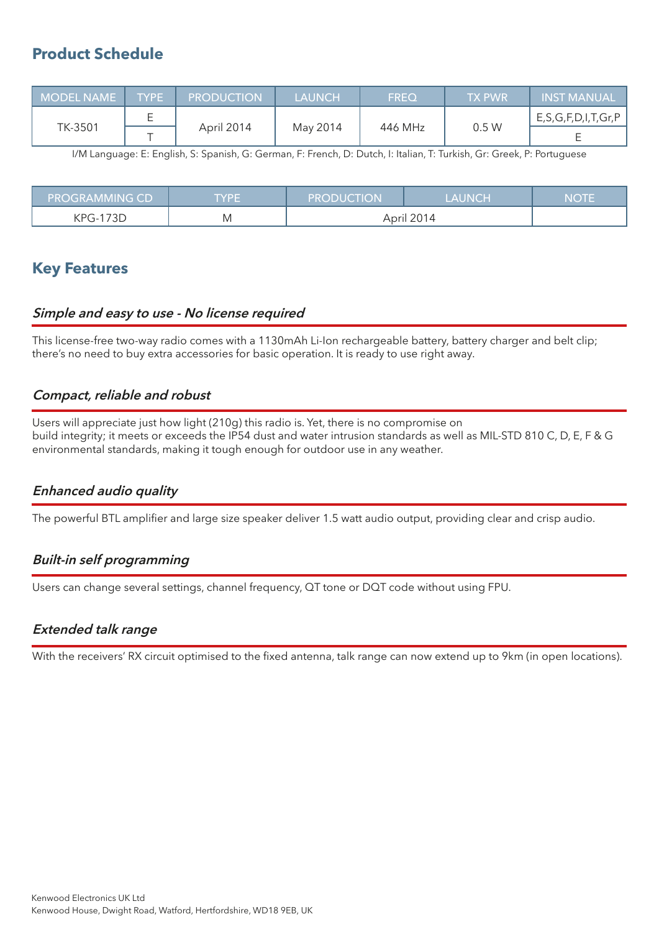## **Product Schedule**

| MODEL NAME TYPE |  | <b>PRODUCTION</b> | <b>LAUNCH</b> | <b>FREQ</b> | <b>TX PWR</b> | INST MANUAL                |
|-----------------|--|-------------------|---------------|-------------|---------------|----------------------------|
| TK-3501         |  | April 2014        | May 2014      | 446 MHz     | 0.5W          | E, S, G, F, D, I, T, Gr, P |
|                 |  |                   |               |             |               |                            |

I/M Language: E: English, S: Spanish, G: German, F: French, D: Dutch, I: Italian, T: Turkish, Gr: Greek, P: Portuguese

| <b>PROGRAMMING CD</b> | TYPE | <b>PRODUCTION</b> | <b>LAUNCH</b> | <b>NOTE</b> |
|-----------------------|------|-------------------|---------------|-------------|
| KPG-173D              | M    | April 2014        |               |             |

## **Key Features**

#### **Simple and easy to use - No license required**

This license-free two-way radio comes with a 1130mAh Li-Ion rechargeable battery, battery charger and belt clip; there's no need to buy extra accessories for basic operation. It is ready to use right away.

#### **Compact, reliable and robust**

Users will appreciate just how light (210g) this radio is. Yet, there is no compromise on build integrity; it meets or exceeds the IP54 dust and water intrusion standards as well as MIL-STD 810 C, D, E, F & G environmental standards, making it tough enough for outdoor use in any weather.

#### **Enhanced audio quality**

The powerful BTL amplifier and large size speaker deliver 1.5 watt audio output, providing clear and crisp audio.

#### **Built-in self programming**

Users can change several settings, channel frequency, QT tone or DQT code without using FPU.

#### **Extended talk range**

With the receivers' RX circuit optimised to the fixed antenna, talk range can now extend up to 9km (in open locations).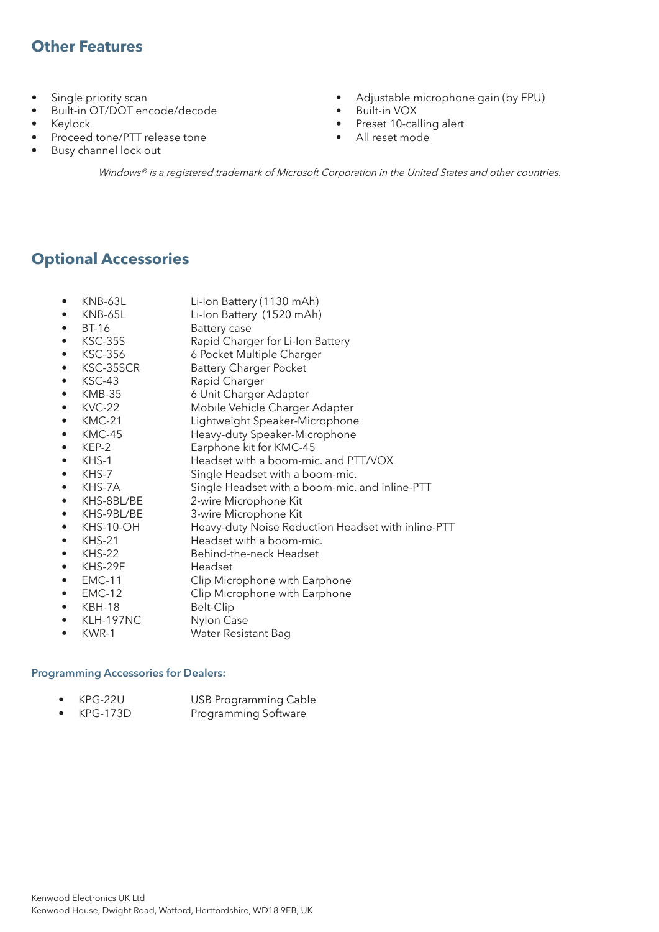## **Other Features**

- Single priority scan
- Built-in QT/DQT encode/decode
- Keylock
- Proceed tone/PTT release tone
- Busy channel lock out
- Adjustable microphone gain (by FPU)
- Built-in VOX
- Preset 10-calling alert
- All reset mode

Windows® is a registered trademark of Microsoft Corporation in the United States and other countries.

## **Optional Accessories**

- KNB-63L Li-Ion Battery (1130 mAh)
- KNB-65L Li-Ion Battery (1520 mAh)<br>• BT-16 Battery case
- BT-16 Battery case
- KSC-35S Rapid Charger for Li-Ion Battery
- KSC-356 6 Pocket Multiple Charger
- KSC-35SCR Battery Charger Pocket
- KSC-43 Rapid Charger
- 
- KMB-35 6 Unit Charger Adapter
- KVC-22 Mobile Vehicle Charger Adapter
- KMC-21 Lightweight Speaker-Microphone • KMC-45 Heavy-duty Speaker-Microphone
- KEP-2 Earphone kit for KMC-45
- KHS-1 Headset with a boom-mic. and PTT/VOX
- KHS-7 Single Headset with a boom-mic.
- KHS-7A Single Headset with a boom-mic. and inline-PTT
- 
- KHS-8BL/BE 2-wire Microphone Kit<br>• KHS-9BL/BE 3-wire Microphone Kit
- KHS-9BL/BE 3-wire Microphone Kit<br>• KHS-10-OH Heavy-duty Noise Redi • KHS-10-OH Heavy-duty Noise Reduction Headset with inline-PTT
- KHS-21 Headset with a boom-mic.<br>• KHS-22 Behind-the-neck Headset
- KHS-22 Behind-the-neck Headset<br>• KHS-29F Headset
- $\bullet$  KHS-29F
- EMC-11 Clip Microphone with Earphone
- EMC-12 Clip Microphone with Earphone
- KBH-18 Belt-Clip
- $\bullet$  KLH-197NC
- KWR-1 Water Resistant Bag

#### **Programming Accessories for Dealers:**

- KPG-22U USB Programming Cable
- Programming Software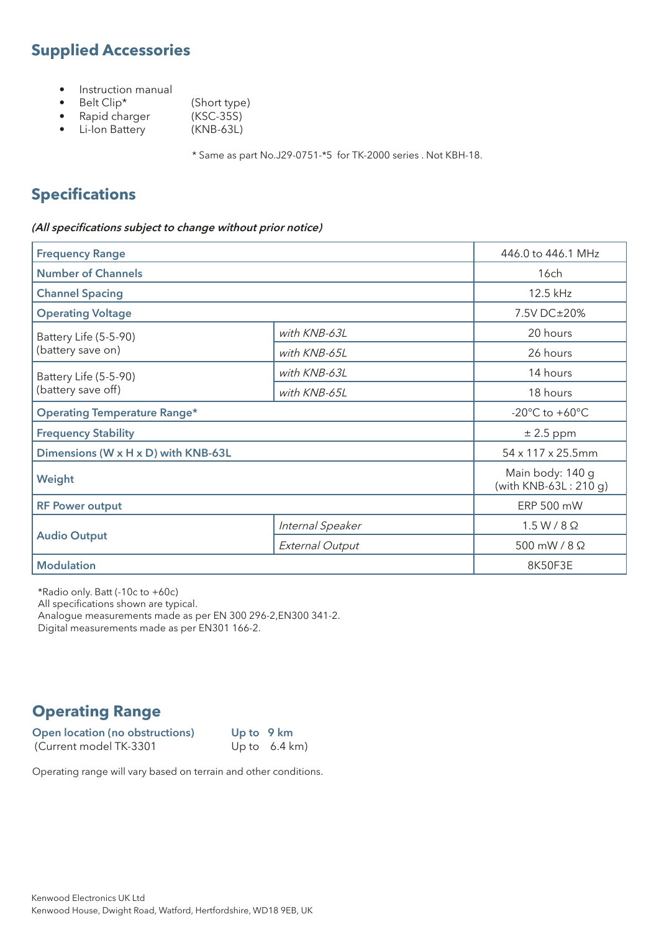# **Supplied Accessories**

- Instruction manual<br>• Belt Clip\*
- 
- (Short type)<br>(KSC-35S)
- Rapid charger (KSC-35S)<br>• Li-lon Battery (KNB-63L)  $\bullet$  Li-Ion Battery

\* Same as part No.J29-0751-\*5 for TK-2000 series . Not KBH-18.

# **Specifications**

#### **(All specifications subject to change without prior notice)**

| <b>Frequency Range</b>              |                                                                                            | 446.0 to 446.1 MHz                                   |
|-------------------------------------|--------------------------------------------------------------------------------------------|------------------------------------------------------|
| <b>Number of Channels</b>           |                                                                                            | 16ch                                                 |
| <b>Channel Spacing</b>              |                                                                                            | 12.5 kHz                                             |
| <b>Operating Voltage</b>            |                                                                                            | 7.5V DC±20%                                          |
| Battery Life (5-5-90)               | with KNB-63L                                                                               | 20 hours                                             |
| (battery save on)                   | with KNB-65L<br>with KNB-63L<br>with KNB-65L<br>Internal Speaker<br><b>External Output</b> | 26 hours                                             |
| Battery Life (5-5-90)               |                                                                                            | 14 hours                                             |
| (battery save off)                  |                                                                                            | 18 hours                                             |
| <b>Operating Temperature Range*</b> |                                                                                            | -20 $\mathrm{^{\circ}C}$ to +60 $\mathrm{^{\circ}C}$ |
| <b>Frequency Stability</b>          |                                                                                            | $\pm 2.5$ ppm                                        |
| Dimensions (W x H x D) with KNB-63L |                                                                                            | $54 \times 117 \times 25.5$ mm                       |
| Weight                              |                                                                                            | Main body: 140 g<br>(with $KNB-63L: 210q$ )          |
| <b>RF Power output</b>              |                                                                                            | ERP 500 mW                                           |
|                                     |                                                                                            | $1.5 W / 8 \Omega$                                   |
| <b>Audio Output</b>                 |                                                                                            | 500 mW / 8 Ω                                         |
| <b>Modulation</b>                   |                                                                                            | 8K50F3E                                              |

\*Radio only. Batt (-10c to +60c)

All specifications shown are typical.

Analogue measurements made as per EN 300 296-2,EN300 341-2.

Digital measurements made as per EN301 166-2.

# **Operating Range**

**Open location (no obstructions)** Up to 9 km<br>(Current model TK-3301 Up to 6.4 km) (Current model TK-3301

Operating range will vary based on terrain and other conditions.